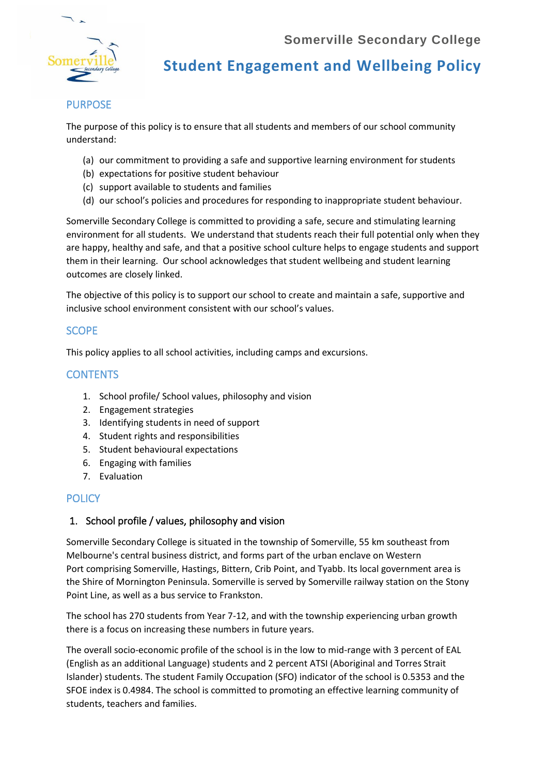

**Student Engagement and Wellbeing Policy**

### PURPOSE

The purpose of this policy is to ensure that all students and members of our school community understand:

- (a) our commitment to providing a safe and supportive learning environment for students
- (b) expectations for positive student behaviour
- (c) support available to students and families
- (d) our school's policies and procedures for responding to inappropriate student behaviour.

Somerville Secondary College is committed to providing a safe, secure and stimulating learning environment for all students. We understand that students reach their full potential only when they are happy, healthy and safe, and that a positive school culture helps to engage students and support them in their learning. Our school acknowledges that student wellbeing and student learning outcomes are closely linked.

The objective of this policy is to support our school to create and maintain a safe, supportive and inclusive school environment consistent with our school's values.

### **SCOPE**

This policy applies to all school activities, including camps and excursions.

#### **CONTENTS**

- 1. School profile/ School values, philosophy and vision
- 2. Engagement strategies
- 3. Identifying students in need of support
- 4. Student rights and responsibilities
- 5. Student behavioural expectations
- 6. Engaging with families
- 7. Evaluation

#### **POLICY**

#### 1. School profile / values, philosophy and vision

Somerville Secondary College is situated in the township of Somerville, 55 km southeast from Melbourne's [central business district,](https://en.wikipedia.org/wiki/Melbourne_city_centre) and forms part of the urban enclave on [Western](https://en.wikipedia.org/wiki/Western_Port)  [Port](https://en.wikipedia.org/wiki/Western_Port) comprising Somerville, [Hastings,](https://en.wikipedia.org/wiki/Hastings,_Victoria) [Bittern,](https://en.wikipedia.org/wiki/Bittern,_Victoria) [Crib Point,](https://en.wikipedia.org/wiki/Crib_Point,_Victoria) and [Tyabb.](https://en.wikipedia.org/wiki/Tyabb,_Victoria) Its [local government area](https://en.wikipedia.org/wiki/Local_Government_Areas_of_Victoria) is the [Shire of Mornington Peninsula.](https://en.wikipedia.org/wiki/Shire_of_Mornington_Peninsula) Somerville is served by [Somerville railway station](https://en.wikipedia.org/wiki/Somerville_railway_station) on the [Stony](https://en.wikipedia.org/wiki/Stony_Point_railway_line)  [Point Line,](https://en.wikipedia.org/wiki/Stony_Point_railway_line) as well as a [bus service](https://en.wikipedia.org/wiki/List_of_Melbourne_bus_routes) to [Frankston.](https://en.wikipedia.org/wiki/Frankston,_Victoria)

The school has 270 students from Year 7-12, and with the township experiencing urban growth there is a focus on increasing these numbers in future years.

The overall socio-economic profile of the school is in the low to mid-range with 3 percent of EAL (English as an additional Language) students and 2 percent ATSI (Aboriginal and Torres Strait Islander) students. The student Family Occupation (SFO) indicator of the school is 0.5353 and the SFOE index is 0.4984. The school is committed to promoting an effective learning community of students, teachers and families.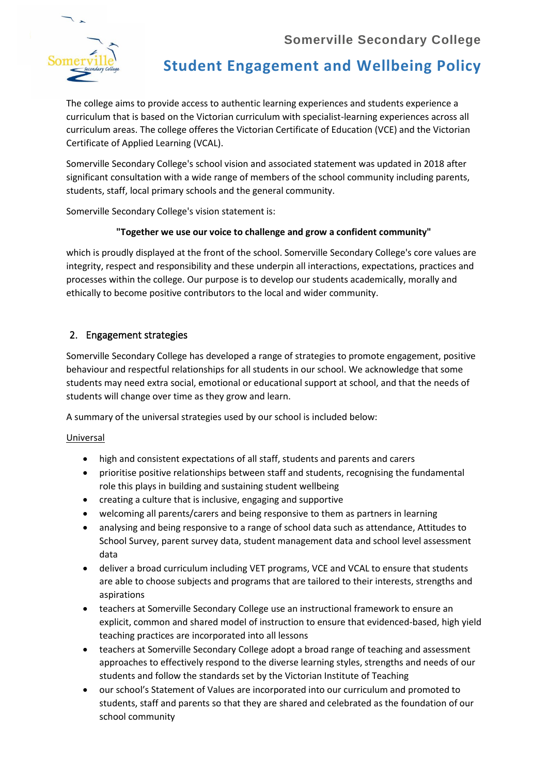

# **Student Engagement and Wellbeing Policy**

The college aims to provide access to authentic learning experiences and students experience a curriculum that is based on the Victorian curriculum with specialist-learning experiences across all curriculum areas. The college offeres the Victorian Certificate of Education (VCE) and the Victorian Certificate of Applied Learning (VCAL).

Somerville Secondary College's school vision and associated statement was updated in 2018 after significant consultation with a wide range of members of the school community including parents, students, staff, local primary schools and the general community.

Somerville Secondary College's vision statement is:

#### **"Together we use our voice to challenge and grow a confident community"**

which is proudly displayed at the front of the school. Somerville Secondary College's core values are integrity, respect and responsibility and these underpin all interactions, expectations, practices and processes within the college. Our purpose is to develop our students academically, morally and ethically to become positive contributors to the local and wider community.

### 2. Engagement strategies

Somerville Secondary College has developed a range of strategies to promote engagement, positive behaviour and respectful relationships for all students in our school. We acknowledge that some students may need extra social, emotional or educational support at school, and that the needs of students will change over time as they grow and learn.

A summary of the universal strategies used by our school is included below:

Universal

- high and consistent expectations of all staff, students and parents and carers
- prioritise positive relationships between staff and students, recognising the fundamental role this plays in building and sustaining student wellbeing
- creating a culture that is inclusive, engaging and supportive
- welcoming all parents/carers and being responsive to them as partners in learning
- analysing and being responsive to a range of school data such as attendance, Attitudes to School Survey, parent survey data, student management data and school level assessment data
- deliver a broad curriculum including VET programs, VCE and VCAL to ensure that students are able to choose subjects and programs that are tailored to their interests, strengths and aspirations
- teachers at Somerville Secondary College use an instructional framework to ensure an explicit, common and shared model of instruction to ensure that evidenced-based, high yield teaching practices are incorporated into all lessons
- teachers at Somerville Secondary College adopt a broad range of teaching and assessment approaches to effectively respond to the diverse learning styles, strengths and needs of our students and follow the standards set by the Victorian Institute of Teaching
- our school's Statement of Values are incorporated into our curriculum and promoted to students, staff and parents so that they are shared and celebrated as the foundation of our school community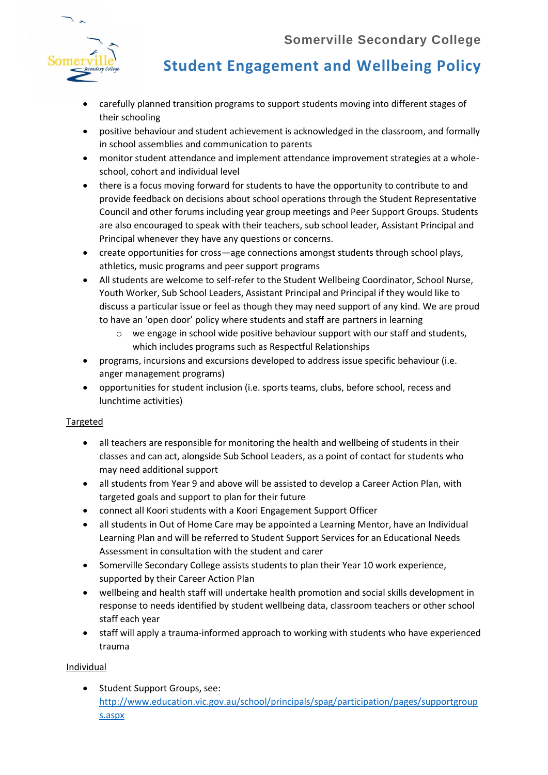

# **Student Engagement and Wellbeing Policy**

- carefully planned transition programs to support students moving into different stages of their schooling
- positive behaviour and student achievement is acknowledged in the classroom, and formally in school assemblies and communication to parents
- monitor student attendance and implement attendance improvement strategies at a wholeschool, cohort and individual level
- there is a focus moving forward for students to have the opportunity to contribute to and provide feedback on decisions about school operations through the Student Representative Council and other forums including year group meetings and Peer Support Groups. Students are also encouraged to speak with their teachers, sub school leader, Assistant Principal and Principal whenever they have any questions or concerns.
- create opportunities for cross—age connections amongst students through school plays, athletics, music programs and peer support programs
- All students are welcome to self-refer to the Student Wellbeing Coordinator, School Nurse, Youth Worker, Sub School Leaders, Assistant Principal and Principal if they would like to discuss a particular issue or feel as though they may need support of any kind. We are proud to have an 'open door' policy where students and staff are partners in learning
	- $\circ$  we engage in school wide positive behaviour support with our staff and students, which includes programs such as Respectful Relationships
- programs, incursions and excursions developed to address issue specific behaviour (i.e. anger management programs)
- opportunities for student inclusion (i.e. sports teams, clubs, before school, recess and lunchtime activities)

#### **Targeted**

- all teachers are responsible for monitoring the health and wellbeing of students in their classes and can act, alongside Sub School Leaders, as a point of contact for students who may need additional support
- all students from Year 9 and above will be assisted to develop a Career Action Plan, with targeted goals and support to plan for their future
- connect all Koori students with a Koori Engagement Support Officer
- all students in Out of Home Care may be appointed a Learning Mentor, have an Individual Learning Plan and will be referred to Student Support Services for an Educational Needs Assessment in consultation with the student and carer
- Somerville Secondary College assists students to plan their Year 10 work experience, supported by their Career Action Plan
- wellbeing and health staff will undertake health promotion and social skills development in response to needs identified by student wellbeing data, classroom teachers or other school staff each year
- staff will apply a trauma-informed approach to working with students who have experienced trauma

#### Individual

• Student Support Groups, see: [http://www.education.vic.gov.au/school/principals/spag/participation/pages/supportgroup](http://www.education.vic.gov.au/school/principals/spag/participation/pages/supportgroups.aspx) [s.aspx](http://www.education.vic.gov.au/school/principals/spag/participation/pages/supportgroups.aspx)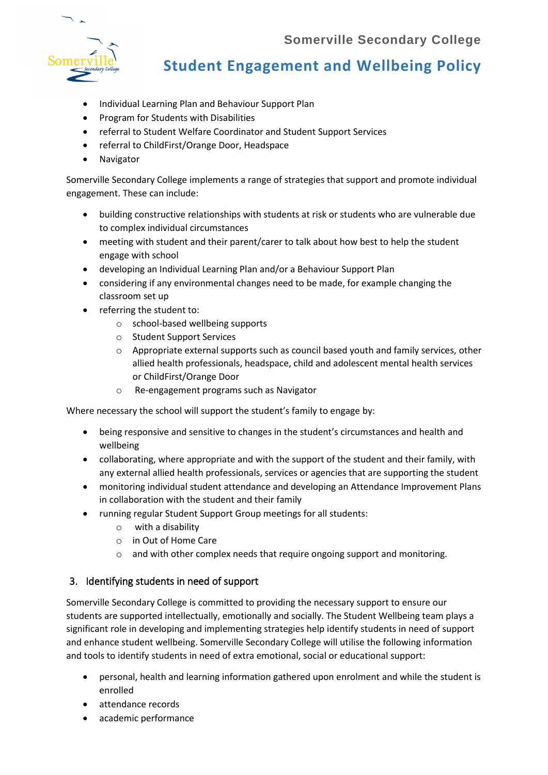

# **Student Engagement and Wellbeing Policy**

- Individual Learning Plan and Behaviour Support Plan
- Program for Students with Disabilities
- referral to Student Welfare Coordinator and Student Support Services
- referral to ChildFirst/Orange Door, Headspace
- Navigator

Somerville Secondary College implements a range of strategies that support and promote individual engagement. These can include:

- building constructive relationships with students at risk or students who are vulnerable due to complex individual circumstances
- meeting with student and their parent/carer to talk about how best to help the student engage with school
- developing an Individual Learning Plan and/or a Behaviour Support Plan
- considering if any environmental changes need to be made, for example changing the classroom set up
- referring the student to:
	- o school-based wellbeing supports
	- o Student Support Services
	- o Appropriate external supports such as council based youth and family services, other allied health professionals, headspace, child and adolescent mental health services or ChildFirst/Orange Door
	- o Re-engagement programs such as Navigator

Where necessary the school will support the student's family to engage by:

- being responsive and sensitive to changes in the student's circumstances and health and wellbeing
- collaborating, where appropriate and with the support of the student and their family, with any external allied health professionals, services or agencies that are supporting the student
- monitoring individual student attendance and developing an Attendance Improvement Plans in collaboration with the student and their family
	- running regular Student Support Group meetings for all students:
		- o with a disability
		- o in Out of Home Care
		- o and with other complex needs that require ongoing support and monitoring.

#### 3. Identifying students in need of support

Somerville Secondary College is committed to providing the necessary support to ensure our students are supported intellectually, emotionally and socially. The Student Wellbeing team plays a significant role in developing and implementing strategies help identify students in need of support and enhance student wellbeing. Somerville Secondary College will utilise the following information and tools to identify students in need of extra emotional, social or educational support:

- personal, health and learning information gathered upon enrolment and while the student is enrolled
- attendance records
- academic performance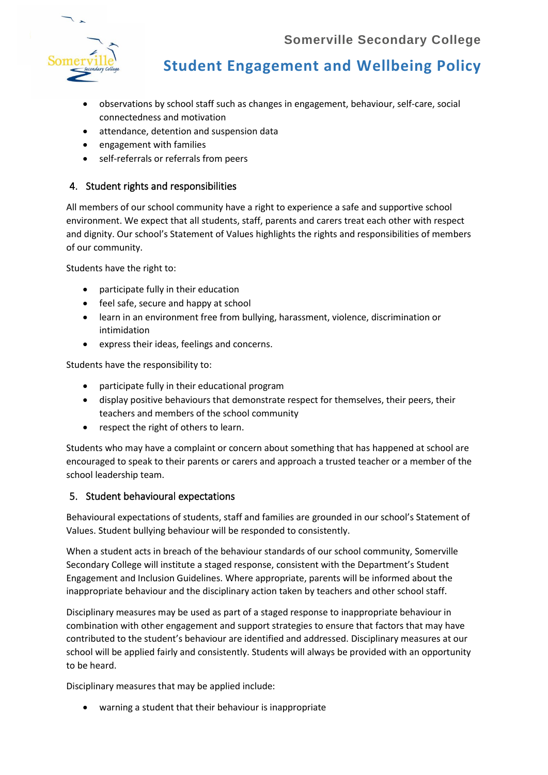

**Student Engagement and Wellbeing Policy**

- observations by school staff such as changes in engagement, behaviour, self-care, social connectedness and motivation
- attendance, detention and suspension data
- engagement with families
- self-referrals or referrals from peers

#### 4. Student rights and responsibilities

All members of our school community have a right to experience a safe and supportive school environment. We expect that all students, staff, parents and carers treat each other with respect and dignity. Our school's Statement of Values highlights the rights and responsibilities of members of our community.

Students have the right to:

- participate fully in their education
- feel safe, secure and happy at school
- learn in an environment free from bullying, harassment, violence, discrimination or intimidation
- express their ideas, feelings and concerns.

Students have the responsibility to:

- participate fully in their educational program
- display positive behaviours that demonstrate respect for themselves, their peers, their teachers and members of the school community
- respect the right of others to learn.

Students who may have a complaint or concern about something that has happened at school are encouraged to speak to their parents or carers and approach a trusted teacher or a member of the school leadership team.

#### 5. Student behavioural expectations

Behavioural expectations of students, staff and families are grounded in our school's Statement of Values. Student bullying behaviour will be responded to consistently.

When a student acts in breach of the behaviour standards of our school community, Somerville Secondary College will institute a staged response, consistent with the Department's Student Engagement and Inclusion Guidelines. Where appropriate, parents will be informed about the inappropriate behaviour and the disciplinary action taken by teachers and other school staff.

Disciplinary measures may be used as part of a staged response to inappropriate behaviour in combination with other engagement and support strategies to ensure that factors that may have contributed to the student's behaviour are identified and addressed. Disciplinary measures at our school will be applied fairly and consistently. Students will always be provided with an opportunity to be heard.

Disciplinary measures that may be applied include:

• warning a student that their behaviour is inappropriate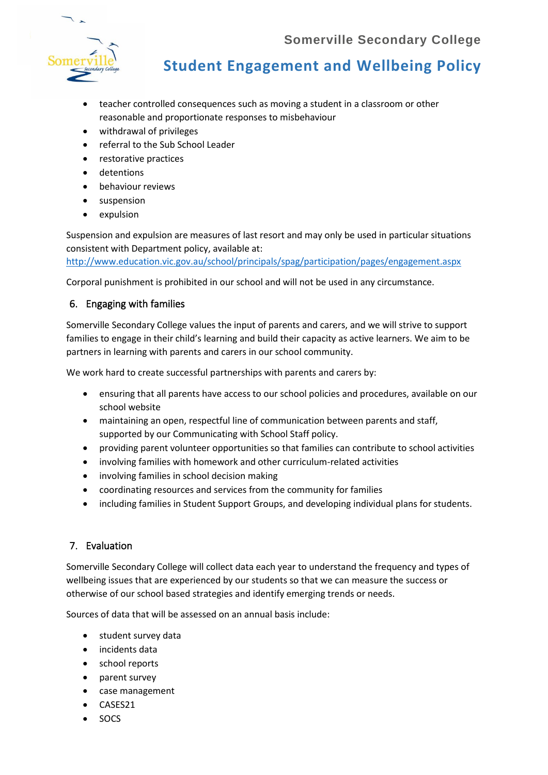

# **Student Engagement and Wellbeing Policy**

- teacher controlled consequences such as moving a student in a classroom or other reasonable and proportionate responses to misbehaviour
- withdrawal of privileges
- referral to the Sub School Leader
- restorative practices
- detentions
- behaviour reviews
- suspension
- expulsion

Suspension and expulsion are measures of last resort and may only be used in particular situations consistent with Department policy, available at:

<http://www.education.vic.gov.au/school/principals/spag/participation/pages/engagement.aspx>

Corporal punishment is prohibited in our school and will not be used in any circumstance.

#### 6. Engaging with families

Somerville Secondary College values the input of parents and carers, and we will strive to support families to engage in their child's learning and build their capacity as active learners. We aim to be partners in learning with parents and carers in our school community.

We work hard to create successful partnerships with parents and carers by:

- ensuring that all parents have access to our school policies and procedures, available on our school website
- maintaining an open, respectful line of communication between parents and staff, supported by our Communicating with School Staff policy.
- providing parent volunteer opportunities so that families can contribute to school activities
- involving families with homework and other curriculum-related activities
- involving families in school decision making
- coordinating resources and services from the community for families
- including families in Student Support Groups, and developing individual plans for students.

#### 7. Evaluation

Somerville Secondary College will collect data each year to understand the frequency and types of wellbeing issues that are experienced by our students so that we can measure the success or otherwise of our school based strategies and identify emerging trends or needs.

Sources of data that will be assessed on an annual basis include:

- student survey data
- incidents data
- school reports
- parent survey
- case management
- CASES21
- SOCS